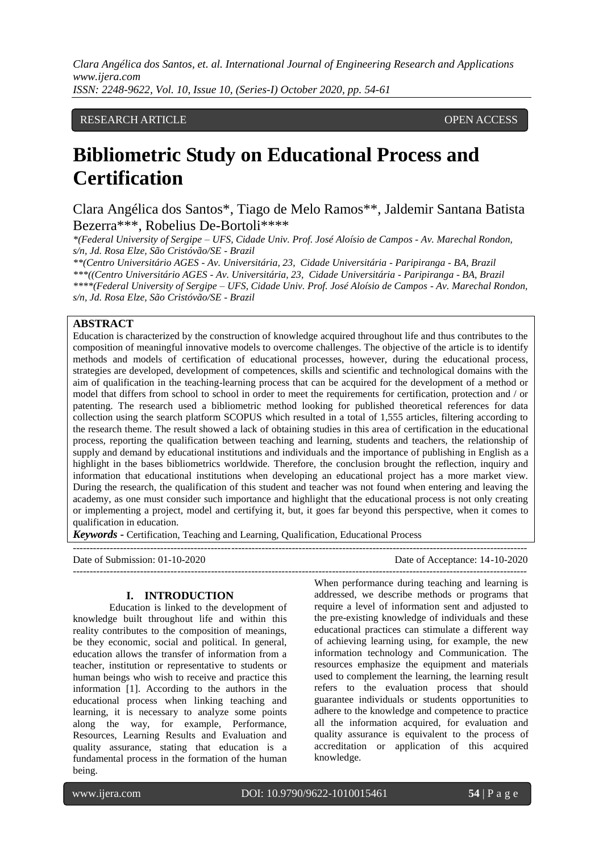# RESEARCH ARTICLE **CONSERVERS** OPEN ACCESS

# **Bibliometric Study on Educational Process and Certification**

Clara Angélica dos Santos\*, Tiago de Melo Ramos\*\*, Jaldemir Santana Batista Bezerra\*\*\*, Robelius De-Bortoli\*\*\*\*

*\*(Federal University of Sergipe – UFS, Cidade Univ. Prof. José Aloísio de Campos - Av. Marechal Rondon, s/n, Jd. Rosa Elze, São Cristóvão/SE - Brazil*

*\*\*(Centro Universitário AGES - Av. Universitária, 23, Cidade Universitária - Paripiranga - BA, Brazil \*\*\*((Centro Universitário AGES - Av. Universitária, 23, Cidade Universitária - Paripiranga - BA, Brazil \*\*\*\*(Federal University of Sergipe – UFS, Cidade Univ. Prof. José Aloísio de Campos - Av. Marechal Rondon, s/n, Jd. Rosa Elze, São Cristóvão/SE - Brazil*

### **ABSTRACT**

Education is characterized by the construction of knowledge acquired throughout life and thus contributes to the composition of meaningful innovative models to overcome challenges. The objective of the article is to identify methods and models of certification of educational processes, however, during the educational process, strategies are developed, development of competences, skills and scientific and technological domains with the aim of qualification in the teaching-learning process that can be acquired for the development of a method or model that differs from school to school in order to meet the requirements for certification, protection and / or patenting. The research used a bibliometric method looking for published theoretical references for data collection using the search platform SCOPUS which resulted in a total of 1,555 articles, filtering according to the research theme. The result showed a lack of obtaining studies in this area of certification in the educational process, reporting the qualification between teaching and learning, students and teachers, the relationship of supply and demand by educational institutions and individuals and the importance of publishing in English as a highlight in the bases bibliometrics worldwide. Therefore, the conclusion brought the reflection, inquiry and information that educational institutions when developing an educational project has a more market view. During the research, the qualification of this student and teacher was not found when entering and leaving the academy, as one must consider such importance and highlight that the educational process is not only creating or implementing a project, model and certifying it, but, it goes far beyond this perspective, when it comes to qualification in education.

*Keywords* **-** Certification, Teaching and Learning, Qualification, Educational Process

| Date of Submission: $01-10-2020$ | Date of Acceptance: 14-10-2020 |
|----------------------------------|--------------------------------|
|                                  |                                |

#### **I. INTRODUCTION**

Education is linked to the development of knowledge built throughout life and within this reality contributes to the composition of meanings, be they economic, social and political. In general, education allows the transfer of information from a teacher, institution or representative to students or human beings who wish to receive and practice this information [1]. According to the authors in the educational process when linking teaching and learning, it is necessary to analyze some points along the way, for example, Performance, Resources, Learning Results and Evaluation and quality assurance, stating that education is a fundamental process in the formation of the human being.

When performance during teaching and learning is addressed, we describe methods or programs that require a level of information sent and adjusted to the pre-existing knowledge of individuals and these educational practices can stimulate a different way of achieving learning using, for example, the new information technology and Communication. The resources emphasize the equipment and materials used to complement the learning, the learning result refers to the evaluation process that should guarantee individuals or students opportunities to adhere to the knowledge and competence to practice all the information acquired, for evaluation and quality assurance is equivalent to the process of accreditation or application of this acquired knowledge.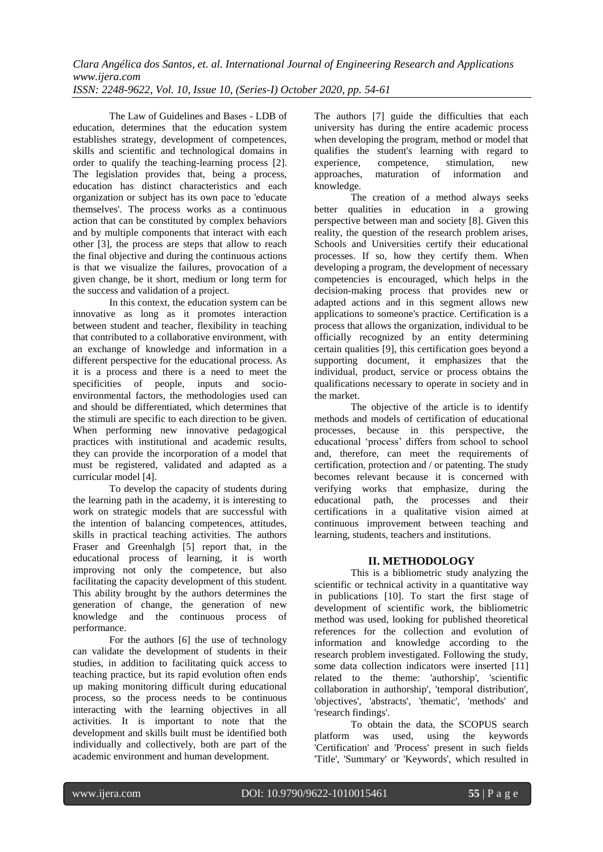The Law of Guidelines and Bases - LDB of education, determines that the education system establishes strategy, development of competences, skills and scientific and technological domains in order to qualify the teaching-learning process [2]. The legislation provides that, being a process, education has distinct characteristics and each organization or subject has its own pace to 'educate themselves'. The process works as a continuous action that can be constituted by complex behaviors and by multiple components that interact with each other [3], the process are steps that allow to reach the final objective and during the continuous actions is that we visualize the failures, provocation of a given change, be it short, medium or long term for the success and validation of a project.

In this context, the education system can be innovative as long as it promotes interaction between student and teacher, flexibility in teaching that contributed to a collaborative environment, with an exchange of knowledge and information in a different perspective for the educational process. As it is a process and there is a need to meet the specificities of people, inputs and socioenvironmental factors, the methodologies used can and should be differentiated, which determines that the stimuli are specific to each direction to be given. When performing new innovative pedagogical practices with institutional and academic results, they can provide the incorporation of a model that must be registered, validated and adapted as a curricular model [4].

To develop the capacity of students during the learning path in the academy, it is interesting to work on strategic models that are successful with the intention of balancing competences, attitudes, skills in practical teaching activities. The authors Fraser and Greenhalgh [5] report that, in the educational process of learning, it is worth improving not only the competence, but also facilitating the capacity development of this student. This ability brought by the authors determines the generation of change, the generation of new knowledge and the continuous process of performance.

For the authors [6] the use of technology can validate the development of students in their studies, in addition to facilitating quick access to teaching practice, but its rapid evolution often ends up making monitoring difficult during educational process, so the process needs to be continuous interacting with the learning objectives in all activities. It is important to note that the development and skills built must be identified both individually and collectively, both are part of the academic environment and human development.

The authors [7] guide the difficulties that each university has during the entire academic process when developing the program, method or model that qualifies the student's learning with regard to<br>experience. competence. stimulation. new experience, competence, stimulation, new approaches, maturation of information and knowledge.

The creation of a method always seeks better qualities in education in a growing perspective between man and society [8]. Given this reality, the question of the research problem arises, Schools and Universities certify their educational processes. If so, how they certify them. When developing a program, the development of necessary competencies is encouraged, which helps in the decision-making process that provides new or adapted actions and in this segment allows new applications to someone's practice. Certification is a process that allows the organization, individual to be officially recognized by an entity determining certain qualities [9], this certification goes beyond a supporting document, it emphasizes that the individual, product, service or process obtains the qualifications necessary to operate in society and in the market.

The objective of the article is to identify methods and models of certification of educational processes, because in this perspective, the educational 'process' differs from school to school and, therefore, can meet the requirements of certification, protection and / or patenting. The study becomes relevant because it is concerned with verifying works that emphasize, during the educational path, the processes and their certifications in a qualitative vision aimed at continuous improvement between teaching and learning, students, teachers and institutions.

# **II. METHODOLOGY**

This is a bibliometric study analyzing the scientific or technical activity in a quantitative way in publications [10]. To start the first stage of development of scientific work, the bibliometric method was used, looking for published theoretical references for the collection and evolution of information and knowledge according to the research problem investigated. Following the study, some data collection indicators were inserted [11] related to the theme: 'authorship', 'scientific collaboration in authorship', 'temporal distribution', 'objectives', 'abstracts', 'thematic', 'methods' and 'research findings'.

To obtain the data, the SCOPUS search platform was used, using the keywords 'Certification' and 'Process' present in such fields 'Title', 'Summary' or 'Keywords', which resulted in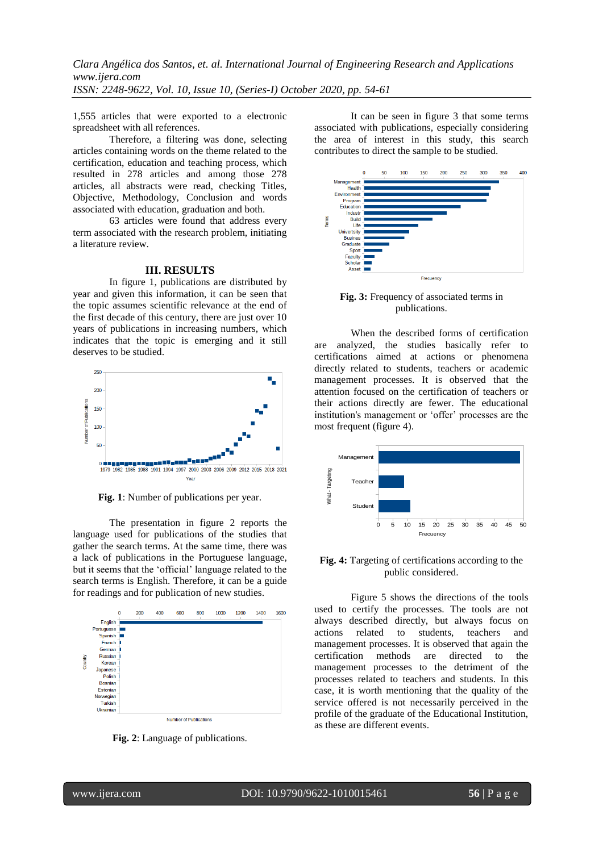1,555 articles that were exported to a electronic spreadsheet with all references.

Therefore, a filtering was done, selecting articles containing words on the theme related to the certification, education and teaching process, which resulted in 278 articles and among those 278 articles, all abstracts were read, checking Titles, Objective, Methodology, Conclusion and words associated with education, graduation and both.

63 articles were found that address every term associated with the research problem, initiating a literature review.

#### **III. RESULTS**

In figure 1, publications are distributed by year and given this information, it can be seen that the topic assumes scientific relevance at the end of the first decade of this century, there are just over 10 years of publications in increasing numbers, which indicates that the topic is emerging and it still deserves to be studied.



**Fig. 1**: Number of publications per year.

The presentation in figure 2 reports the language used for publications of the studies that gather the search terms. At the same time, there was a lack of publications in the Portuguese language, but it seems that the 'official' language related to the search terms is English. Therefore, it can be a guide for readings and for publication of new studies.



**Fig. 2**: Language of publications.

It can be seen in figure 3 that some terms associated with publications, especially considering the area of interest in this study, this search contributes to direct the sample to be studied.



**Fig. 3:** Frequency of associated terms in publications.

When the described forms of certification are analyzed, the studies basically refer to certifications aimed at actions or phenomena directly related to students, teachers or academic management processes. It is observed that the attention focused on the certification of teachers or their actions directly are fewer. The educational institution's management or 'offer' processes are the most frequent (figure 4).



**Fig. 4:** Targeting of certifications according to the public considered.

Figure 5 shows the directions of the tools used to certify the processes. The tools are not always described directly, but always focus on actions related to students, teachers and management processes. It is observed that again the certification methods are directed to the management processes to the detriment of the processes related to teachers and students. In this case, it is worth mentioning that the quality of the service offered is not necessarily perceived in the profile of the graduate of the Educational Institution, as these are different events.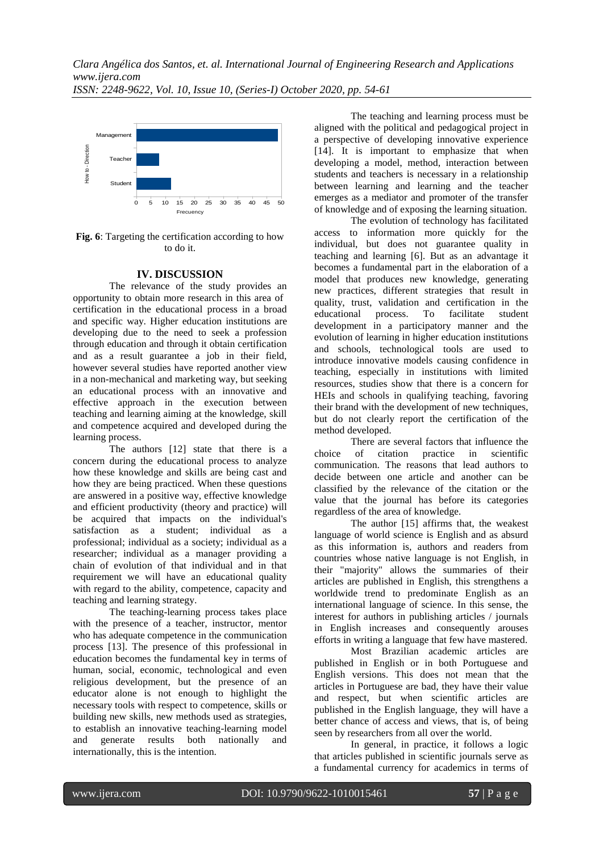

Fig. 6: Targeting the certification according to how to do it.

# **IV. DISCUSSION**

The relevance of the study provides an opportunity to obtain more research in this area of certification in the educational process in a broad and specific way. Higher education institutions are developing due to the need to seek a profession through education and through it obtain certification and as a result guarantee a job in their field, however several studies have reported another view in a non-mechanical and marketing way, but seeking an educational process with an innovative and effective approach in the execution between teaching and learning aiming at the knowledge, skill and competence acquired and developed during the learning process.

The authors [12] state that there is a concern during the educational process to analyze how these knowledge and skills are being cast and how they are being practiced. When these questions are answered in a positive way, effective knowledge and efficient productivity (theory and practice) will be acquired that impacts on the individual's satisfaction as a student; individual as a professional; individual as a society; individual as a researcher; individual as a manager providing a chain of evolution of that individual and in that requirement we will have an educational quality with regard to the ability, competence, capacity and teaching and learning strategy.

The teaching-learning process takes place with the presence of a teacher, instructor, mentor who has adequate competence in the communication process [13]. The presence of this professional in education becomes the fundamental key in terms of human, social, economic, technological and even religious development, but the presence of an educator alone is not enough to highlight the necessary tools with respect to competence, skills or building new skills, new methods used as strategies, to establish an innovative teaching-learning model and generate results both nationally and internationally, this is the intention.

The teaching and learning process must be aligned with the political and pedagogical project in a perspective of developing innovative experience [14]. It is important to emphasize that when developing a model, method, interaction between students and teachers is necessary in a relationship between learning and learning and the teacher emerges as a mediator and promoter of the transfer of knowledge and of exposing the learning situation.

The evolution of technology has facilitated access to information more quickly for the individual, but does not guarantee quality in teaching and learning [6]. But as an advantage it becomes a fundamental part in the elaboration of a model that produces new knowledge, generating new practices, different strategies that result in quality, trust, validation and certification in the educational process. To facilitate student development in a participatory manner and the evolution of learning in higher education institutions and schools, technological tools are used to introduce innovative models causing confidence in teaching, especially in institutions with limited resources, studies show that there is a concern for HEIs and schools in qualifying teaching, favoring their brand with the development of new techniques, but do not clearly report the certification of the method developed.

There are several factors that influence the choice of citation practice in scientific communication. The reasons that lead authors to decide between one article and another can be classified by the relevance of the citation or the value that the journal has before its categories regardless of the area of knowledge.

The author [15] affirms that, the weakest language of world science is English and as absurd as this information is, authors and readers from countries whose native language is not English, in their "majority" allows the summaries of their articles are published in English, this strengthens a worldwide trend to predominate English as an international language of science. In this sense, the interest for authors in publishing articles / journals in English increases and consequently arouses efforts in writing a language that few have mastered.

Most Brazilian academic articles are published in English or in both Portuguese and English versions. This does not mean that the articles in Portuguese are bad, they have their value and respect, but when scientific articles are published in the English language, they will have a better chance of access and views, that is, of being seen by researchers from all over the world.

In general, in practice, it follows a logic that articles published in scientific journals serve as a fundamental currency for academics in terms of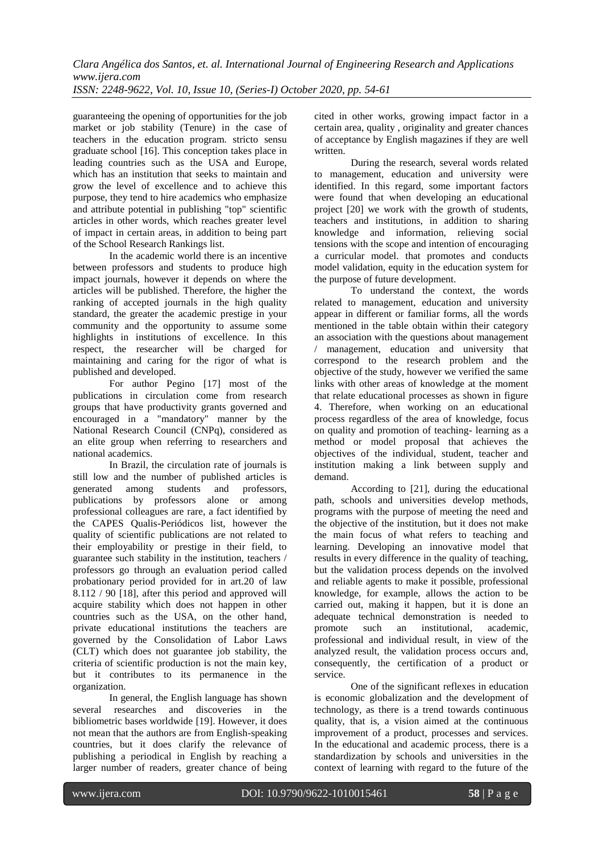*Clara Angélica dos Santos, et. al. International Journal of Engineering Research and Applications www.ijera.com*

*ISSN: 2248-9622, Vol. 10, Issue 10, (Series-I) October 2020, pp. 54-61*

guaranteeing the opening of opportunities for the job market or job stability (Tenure) in the case of teachers in the education program. stricto sensu graduate school [16]. This conception takes place in leading countries such as the USA and Europe, which has an institution that seeks to maintain and grow the level of excellence and to achieve this purpose, they tend to hire academics who emphasize and attribute potential in publishing "top" scientific articles in other words, which reaches greater level of impact in certain areas, in addition to being part of the School Research Rankings list.

In the academic world there is an incentive between professors and students to produce high impact journals, however it depends on where the articles will be published. Therefore, the higher the ranking of accepted journals in the high quality standard, the greater the academic prestige in your community and the opportunity to assume some highlights in institutions of excellence. In this respect, the researcher will be charged for maintaining and caring for the rigor of what is published and developed.

For author Pegino [17] most of the publications in circulation come from research groups that have productivity grants governed and encouraged in a "mandatory" manner by the National Research Council (CNPq), considered as an elite group when referring to researchers and national academics.

In Brazil, the circulation rate of journals is still low and the number of published articles is generated among students and professors, publications by professors alone or among professional colleagues are rare, a fact identified by the CAPES Qualis-Periódicos list, however the quality of scientific publications are not related to their employability or prestige in their field, to guarantee such stability in the institution, teachers / professors go through an evaluation period called probationary period provided for in art.20 of law 8.112 / 90 [18], after this period and approved will acquire stability which does not happen in other countries such as the USA, on the other hand, private educational institutions the teachers are governed by the Consolidation of Labor Laws (CLT) which does not guarantee job stability, the criteria of scientific production is not the main key, but it contributes to its permanence in the organization.

In general, the English language has shown several researches and discoveries in the bibliometric bases worldwide [19]. However, it does not mean that the authors are from English-speaking countries, but it does clarify the relevance of publishing a periodical in English by reaching a larger number of readers, greater chance of being cited in other works, growing impact factor in a certain area, quality , originality and greater chances of acceptance by English magazines if they are well written.

During the research, several words related to management, education and university were identified. In this regard, some important factors were found that when developing an educational project [20] we work with the growth of students, teachers and institutions, in addition to sharing knowledge and information, relieving social tensions with the scope and intention of encouraging a curricular model. that promotes and conducts model validation, equity in the education system for the purpose of future development.

To understand the context, the words related to management, education and university appear in different or familiar forms, all the words mentioned in the table obtain within their category an association with the questions about management / management, education and university that correspond to the research problem and the objective of the study, however we verified the same links with other areas of knowledge at the moment that relate educational processes as shown in figure 4. Therefore, when working on an educational process regardless of the area of knowledge, focus on quality and promotion of teaching- learning as a method or model proposal that achieves the objectives of the individual, student, teacher and institution making a link between supply and demand.

According to [21], during the educational path, schools and universities develop methods, programs with the purpose of meeting the need and the objective of the institution, but it does not make the main focus of what refers to teaching and learning. Developing an innovative model that results in every difference in the quality of teaching, but the validation process depends on the involved and reliable agents to make it possible, professional knowledge, for example, allows the action to be carried out, making it happen, but it is done an adequate technical demonstration is needed to promote such an institutional, academic, professional and individual result, in view of the analyzed result, the validation process occurs and, consequently, the certification of a product or service.

One of the significant reflexes in education is economic globalization and the development of technology, as there is a trend towards continuous quality, that is, a vision aimed at the continuous improvement of a product, processes and services. In the educational and academic process, there is a standardization by schools and universities in the context of learning with regard to the future of the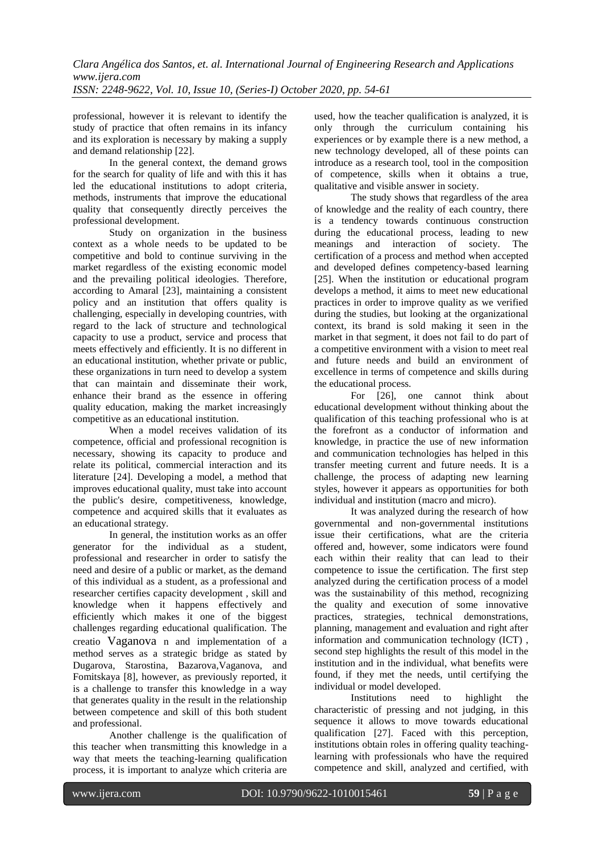professional, however it is relevant to identify the study of practice that often remains in its infancy and its exploration is necessary by making a supply and demand relationship [22].

In the general context, the demand grows for the search for quality of life and with this it has led the educational institutions to adopt criteria, methods, instruments that improve the educational quality that consequently directly perceives the professional development.

Study on organization in the business context as a whole needs to be updated to be competitive and bold to continue surviving in the market regardless of the existing economic model and the prevailing political ideologies. Therefore, according to Amaral [23], maintaining a consistent policy and an institution that offers quality is challenging, especially in developing countries, with regard to the lack of structure and technological capacity to use a product, service and process that meets effectively and efficiently. It is no different in an educational institution, whether private or public, these organizations in turn need to develop a system that can maintain and disseminate their work, enhance their brand as the essence in offering quality education, making the market increasingly competitive as an educational institution.

When a model receives validation of its competence, official and professional recognition is necessary, showing its capacity to produce and relate its political, commercial interaction and its literature [24]. Developing a model, a method that improves educational quality, must take into account the public's desire, competitiveness, knowledge, competence and acquired skills that it evaluates as an educational strategy.

In general, the institution works as an offer generator for the individual as a student, professional and researcher in order to satisfy the need and desire of a public or market, as the demand of this individual as a student, as a professional and researcher certifies capacity development , skill and knowledge when it happens effectively and efficiently which makes it one of the biggest challenges regarding educational qualification. The creatio Vaganova n and implementation of a method serves as a strategic bridge as stated by Dugarova, Starostina, Bazarova, Vaganova, and Fomitskaya [8], however, as previously reported, it is a challenge to transfer this knowledge in a way that generates quality in the result in the relationship between competence and skill of this both student and professional.

Another challenge is the qualification of this teacher when transmitting this knowledge in a way that meets the teaching-learning qualification process, it is important to analyze which criteria are used, how the teacher qualification is analyzed, it is only through the curriculum containing his experiences or by example there is a new method, a new technology developed, all of these points can introduce as a research tool, tool in the composition of competence, skills when it obtains a true, qualitative and visible answer in society.

The study shows that regardless of the area of knowledge and the reality of each country, there is a tendency towards continuous construction during the educational process, leading to new meanings and interaction of society. The certification of a process and method when accepted and developed defines competency-based learning [25]. When the institution or educational program develops a method, it aims to meet new educational practices in order to improve quality as we verified during the studies, but looking at the organizational context, its brand is sold making it seen in the market in that segment, it does not fail to do part of a competitive environment with a vision to meet real and future needs and build an environment of excellence in terms of competence and skills during the educational process.

For [26], one cannot think about educational development without thinking about the qualification of this teaching professional who is at the forefront as a conductor of information and knowledge, in practice the use of new information and communication technologies has helped in this transfer meeting current and future needs. It is a challenge, the process of adapting new learning styles, however it appears as opportunities for both individual and institution (macro and micro).

It was analyzed during the research of how governmental and non-governmental institutions issue their certifications, what are the criteria offered and, however, some indicators were found each within their reality that can lead to their competence to issue the certification. The first step analyzed during the certification process of a model was the sustainability of this method, recognizing the quality and execution of some innovative practices, strategies, technical demonstrations, planning, management and evaluation and right after information and communication technology (ICT) , second step highlights the result of this model in the institution and in the individual, what benefits were found, if they met the needs, until certifying the individual or model developed.

Institutions need to highlight the characteristic of pressing and not judging, in this sequence it allows to move towards educational qualification [27]. Faced with this perception, institutions obtain roles in offering quality teachinglearning with professionals who have the required competence and skill, analyzed and certified, with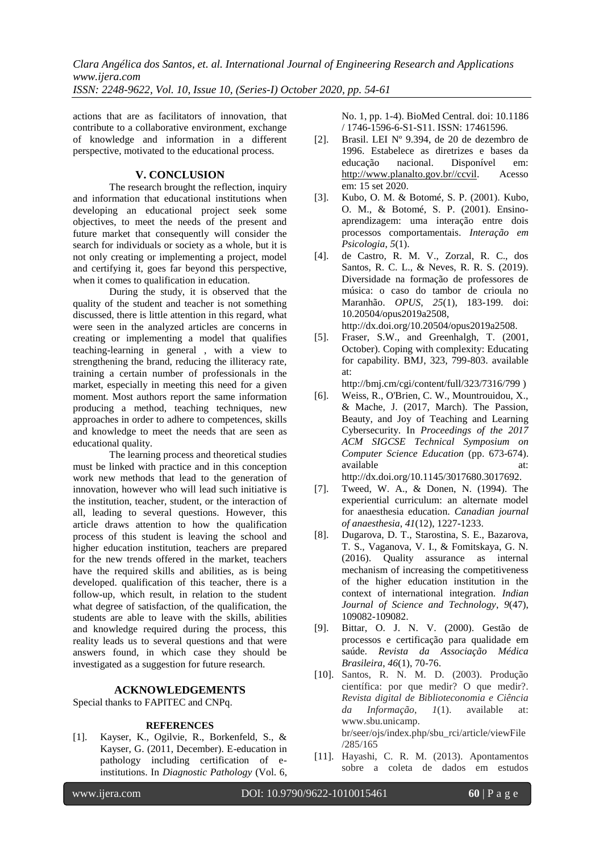actions that are as facilitators of innovation, that contribute to a collaborative environment, exchange of knowledge and information in a different perspective, motivated to the educational process.

# **V. CONCLUSION**

The research brought the reflection, inquiry and information that educational institutions when developing an educational project seek some objectives, to meet the needs of the present and future market that consequently will consider the search for individuals or society as a whole, but it is not only creating or implementing a project, model and certifying it, goes far beyond this perspective, when it comes to qualification in education.

During the study, it is observed that the quality of the student and teacher is not something discussed, there is little attention in this regard, what were seen in the analyzed articles are concerns in creating or implementing a model that qualifies teaching-learning in general , with a view to strengthening the brand, reducing the illiteracy rate, training a certain number of professionals in the market, especially in meeting this need for a given moment. Most authors report the same information producing a method, teaching techniques, new approaches in order to adhere to competences, skills and knowledge to meet the needs that are seen as educational quality.

The learning process and theoretical studies must be linked with practice and in this conception work new methods that lead to the generation of innovation, however who will lead such initiative is the institution, teacher, student, or the interaction of all, leading to several questions. However, this article draws attention to how the qualification process of this student is leaving the school and higher education institution, teachers are prepared for the new trends offered in the market, teachers have the required skills and abilities, as is being developed. qualification of this teacher, there is a follow-up, which result, in relation to the student what degree of satisfaction, of the qualification, the students are able to leave with the skills, abilities and knowledge required during the process, this reality leads us to several questions and that were answers found, in which case they should be investigated as a suggestion for future research.

## **ACKNOWLEDGEMENTS**

Special thanks to FAPITEC and CNPq.

#### **REFERENCES**

[1]. Kayser, K., Ogilvie, R., Borkenfeld, S., & Kayser, G. (2011, December). E-education in pathology including certification of einstitutions. In *Diagnostic Pathology* (Vol. 6, No. 1, pp. 1-4). BioMed Central. doi: 10.1186 / 1746-1596-6-S1-S11. ISSN: 17461596.

- [2]. Brasil. LEI Nº 9.394, de 20 de dezembro de 1996. Estabelece as diretrizes e bases da educação nacional. Disponível em: [http://www.planalto.gov.br//ccvil.](http://www.planalto.gov.br/ccvil) Acesso em: 15 set 2020.
- [3]. Kubo, O. M. & Botomé, S. P. (2001). Kubo, O. M., & Botomé, S. P. (2001). Ensinoaprendizagem: uma interação entre dois processos comportamentais. *Interação em Psicologia*, *5*(1).
- [4]. de Castro, R. M. V., Zorzal, R. C., dos Santos, R. C. L., & Neves, R. R. S. (2019). Diversidade na formação de professores de música: o caso do tambor de crioula no Maranhão. *OPUS*, *25*(1), 183-199. doi: 10.20504/opus2019a2508, http://dx.doi.org/10.20504/opus2019a2508.
- [5]. Fraser, S.W., and Greenhalgh, T. (2001, October). Coping with complexity: Educating for capability. BMJ, 323, 799-803. available at:

http://bmj.cm/cgi/content/full/323/7316/799 )

- [6]. Weiss, R., O'Brien, C. W., Mountrouidou, X., & Mache, J. (2017, March). The Passion, Beauty, and Joy of Teaching and Learning Cybersecurity. In *Proceedings of the 2017 ACM SIGCSE Technical Symposium on Computer Science Education* (pp. 673-674). available http://dx.doi.org/10.1145/3017680.3017692.
- [7]. Tweed, W. A., & Donen, N. (1994). The experiential curriculum: an alternate model for anaesthesia education. *Canadian journal of anaesthesia*, *41*(12), 1227-1233.
- [8]. Dugarova, D. T., Starostina, S. E., Bazarova, T. S., Vaganova, V. I., & Fomitskaya, G. N. (2016). Quality assurance as internal mechanism of increasing the competitiveness of the higher education institution in the context of international integration. *Indian Journal of Science and Technology*, *9*(47), 109082-109082.
- [9]. Bittar, O. J. N. V. (2000). Gestão de processos e certificação para qualidade em saúde. *Revista da Associação Médica Brasileira*, *46*(1), 70-76.
- [10]. Santos, R. N. M. D. (2003). Produção científica: por que medir? O que medir?. *Revista digital de Biblioteconomia e Ciência da Informação*, *1*(1). available at: www.sbu.unicamp. br/seer/ojs/index.php/sbu\_rci/article/viewFile /285/165
- [11]. Hayashi, C. R. M. (2013). Apontamentos sobre a coleta de dados em estudos